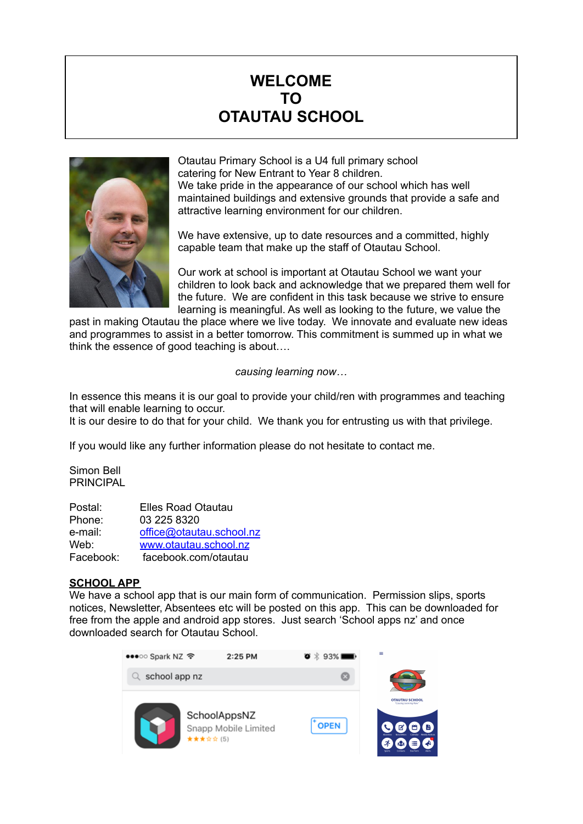# **WELCOME TO OTAUTAU SCHOOL**



Otautau Primary School is a U4 full primary school catering for New Entrant to Year 8 children. We take pride in the appearance of our school which has well maintained buildings and extensive grounds that provide a safe and attractive learning environment for our children.

We have extensive, up to date resources and a committed, highly capable team that make up the staff of Otautau School.

Our work at school is important at Otautau School we want your children to look back and acknowledge that we prepared them well for the future. We are confident in this task because we strive to ensure learning is meaningful. As well as looking to the future, we value the

past in making Otautau the place where we live today. We innovate and evaluate new ideas and programmes to assist in a better tomorrow. This commitment is summed up in what we think the essence of good teaching is about….

*causing learning now…*

In essence this means it is our goal to provide your child/ren with programmes and teaching that will enable learning to occur.

It is our desire to do that for your child. We thank you for entrusting us with that privilege.

If you would like any further information please do not hesitate to contact me.

Simon Bell PRINCIPAL

| Postal:   | <b>Elles Road Otautau</b> |
|-----------|---------------------------|
| Phone:    | 03 225 8320               |
| e-mail:   | office@otautau.school.nz  |
| Web:      | www.otautau.school.nz     |
| Facebook: | facebook.com/otautau      |

# **SCHOOL APP**

We have a school app that is our main form of communication. Permission slips, sports notices, Newsletter, Absentees etc will be posted on this app. This can be downloaded for free from the apple and android app stores. Just search 'School apps nz' and once downloaded search for Otautau School.

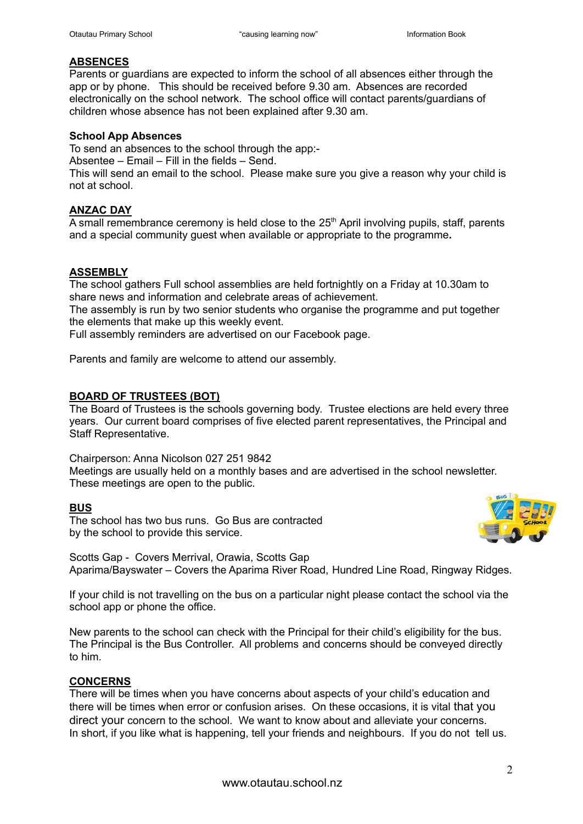# **ABSENCES**

Parents or guardians are expected to inform the school of all absences either through the app or by phone. This should be received before 9.30 am. Absences are recorded electronically on the school network. The school office will contact parents/guardians of children whose absence has not been explained after 9.30 am.

#### **School App Absences**

To send an absences to the school through the app:-

Absentee – Email – Fill in the fields – Send.

This will send an email to the school. Please make sure you give a reason why your child is not at school.

# **ANZAC DAY**

A small remembrance ceremony is held close to the  $25<sup>th</sup>$  April involving pupils, staff, parents and a special community guest when available or appropriate to the programme**.**

# **ASSEMBLY**

The school gathers Full school assemblies are held fortnightly on a Friday at 10.30am to share news and information and celebrate areas of achievement.

The assembly is run by two senior students who organise the programme and put together the elements that make up this weekly event.

Full assembly reminders are advertised on our Facebook page.

Parents and family are welcome to attend our assembly.

## **BOARD OF TRUSTEES (BOT)**

The Board of Trustees is the schools governing body. Trustee elections are held every three years. Our current board comprises of five elected parent representatives, the Principal and Staff Representative.

Chairperson: Anna Nicolson 027 251 9842

Meetings are usually held on a monthly bases and are advertised in the school newsletter. These meetings are open to the public.

## **BUS**

The school has two bus runs. Go Bus are contracted by the school to provide this service.



Scotts Gap - Covers Merrival, Orawia, Scotts Gap Aparima/Bayswater – Covers the Aparima River Road, Hundred Line Road, Ringway Ridges.

If your child is not travelling on the bus on a particular night please contact the school via the school app or phone the office.

New parents to the school can check with the Principal for their child's eligibility for the bus. The Principal is the Bus Controller. All problems and concerns should be conveyed directly to him.

# **CONCERNS**

There will be times when you have concerns about aspects of your child's education and there will be times when error or confusion arises. On these occasions, it is vital that you direct your concern to the school. We want to know about and alleviate your concerns. In short, if you like what is happening, tell your friends and neighbours. If you do not tell us.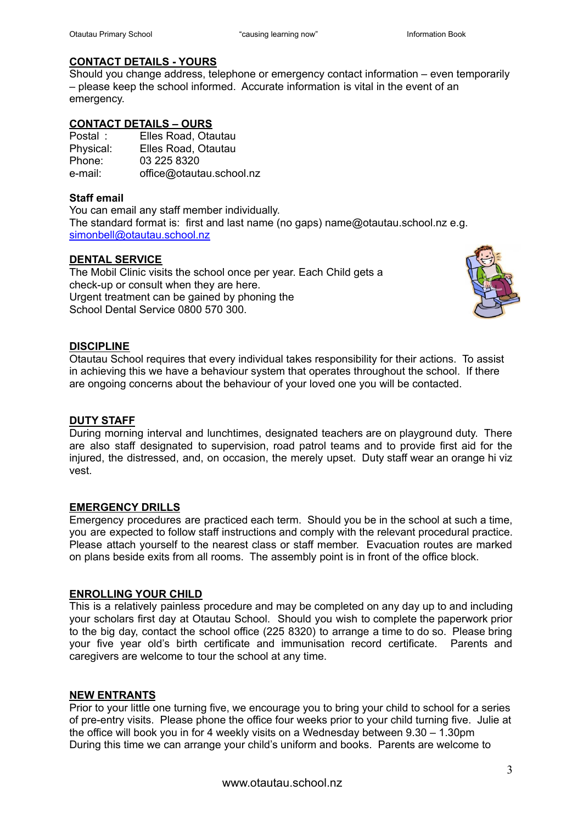# **CONTACT DETAILS - YOURS**

Should you change address, telephone or emergency contact information – even temporarily – please keep the school informed. Accurate information is vital in the event of an emergency.

# **CONTACT DETAILS – OURS**

| Postal:   | Elles Road, Otautau      |
|-----------|--------------------------|
| Physical: | Elles Road, Otautau      |
| Phone:    | 03 225 8320              |
| e-mail:   | office@otautau.school.nz |

# **Staff email**

You can email any staff member individually. The standard format is: first and last name (no gaps) [name@otautau.school.nz](mailto:name@otautau.school.nz) e.g. [simonbell@otautau.school.nz](mailto:simon@otautau.school.nz)

# **DENTAL SERVICE**

The Mobil Clinic visits the school once per year. Each Child gets a check-up or consult when they are here. Urgent treatment can be gained by phoning the School Dental Service 0800 570 300.



# **DISCIPLINE**

Otautau School requires that every individual takes responsibility for their actions. To assist in achieving this we have a behaviour system that operates throughout the school. If there are ongoing concerns about the behaviour of your loved one you will be contacted.

## **DUTY STAFF**

During morning interval and lunchtimes, designated teachers are on playground duty. There are also staff designated to supervision, road patrol teams and to provide first aid for the injured, the distressed, and, on occasion, the merely upset. Duty staff wear an orange hi viz vest.

## **EMERGENCY DRILLS**

Emergency procedures are practiced each term. Should you be in the school at such a time, you are expected to follow staff instructions and comply with the relevant procedural practice. Please attach yourself to the nearest class or staff member. Evacuation routes are marked on plans beside exits from all rooms. The assembly point is in front of the office block.

## **ENROLLING YOUR CHILD**

This is a relatively painless procedure and may be completed on any day up to and including your scholars first day at Otautau School. Should you wish to complete the paperwork prior to the big day, contact the school office (225 8320) to arrange a time to do so. Please bring your five year old's birth certificate and immunisation record certificate. Parents and caregivers are welcome to tour the school at any time.

## **NEW ENTRANTS**

Prior to your little one turning five, we encourage you to bring your child to school for a series of pre-entry visits. Please phone the office four weeks prior to your child turning five. Julie at the office will book you in for 4 weekly visits on a Wednesday between 9.30 – 1.30pm During this time we can arrange your child's uniform and books. Parents are welcome to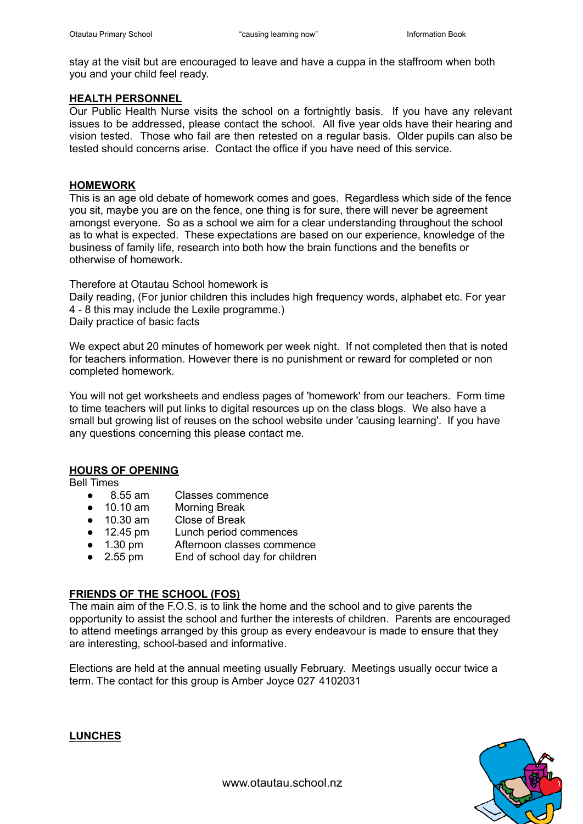stay at the visit but are encouraged to leave and have a cuppa in the staffroom when both you and your child feel ready.

#### **HEALTH PERSONNEL**

Our Public Health Nurse visits the school on a fortnightly basis. If you have any relevant issues to be addressed, please contact the school. All five year olds have their hearing and vision tested. Those who fail are then retested on a regular basis. Older pupils can also be tested should concerns arise. Contact the office if you have need of this service.

#### **HOMEWORK**

This is an age old debate of homework comes and goes. Regardless which side of the fence you sit, maybe you are on the fence, one thing is for sure, there will never be agreement amongst everyone. So as a school we aim for a clear understanding throughout the school as to what is expected. These expectations are based on our experience, knowledge of the business of family life, research into both how the brain functions and the benefits or otherwise of homework.

Therefore at Otautau School homework is Daily reading, (For junior children this includes high frequency words, alphabet etc. For year 4 - 8 this may include the Lexile programme.) Daily practice of basic facts

We expect abut 20 minutes of homework per week night. If not completed then that is noted for teachers information. However there is no punishment or reward for completed or non completed homework.

You will not get worksheets and endless pages of 'homework' from our teachers. Form time to time teachers will put links to digital resources up on the class blogs. We also have a small but growing list of reuses on the school website under 'causing learning'. If you have any questions concerning this please contact me.

## **HOURS OF OPENING**

Bell Times

- 8.55 am Classes commence
- 10.10 am Morning Break
- 10.30 am Close of Break
- 12.45 pm Lunch period commences
- 1.30 pm Afternoon classes commence
- 2.55 pm End of school day for children

## **FRIENDS OF THE SCHOOL (FOS)**

The main aim of the F.O.S. is to link the home and the school and to give parents the opportunity to assist the school and further the interests of children. Parents are encouraged to attend meetings arranged by this group as every endeavour is made to ensure that they are interesting, school-based and informative.

Elections are held at the annual meeting usually February. Meetings usually occur twice a term. The contact for this group is Amber Joyce 027 4102031

## **LUNCHES**

www.otautau.school.nz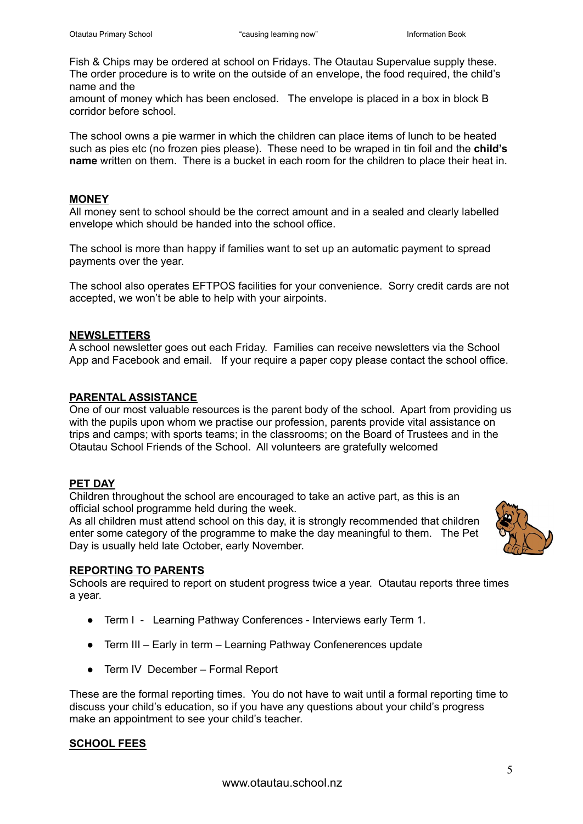Fish & Chips may be ordered at school on Fridays. The Otautau Supervalue supply these. The order procedure is to write on the outside of an envelope, the food required, the child's name and the

amount of money which has been enclosed. The envelope is placed in a box in block B corridor before school.

The school owns a pie warmer in which the children can place items of lunch to be heated such as pies etc (no frozen pies please). These need to be wraped in tin foil and the **child's name** written on them. There is a bucket in each room for the children to place their heat in.

## **MONEY**

All money sent to school should be the correct amount and in a sealed and clearly labelled envelope which should be handed into the school office.

The school is more than happy if families want to set up an automatic payment to spread payments over the year.

The school also operates EFTPOS facilities for your convenience. Sorry credit cards are not accepted, we won't be able to help with your airpoints.

# **NEWSLETTERS**

A school newsletter goes out each Friday. Families can receive newsletters via the School App and Facebook and email. If your require a paper copy please contact the school office.

# **PARENTAL ASSISTANCE**

One of our most valuable resources is the parent body of the school. Apart from providing us with the pupils upon whom we practise our profession, parents provide vital assistance on trips and camps; with sports teams; in the classrooms; on the Board of Trustees and in the Otautau School Friends of the School. All volunteers are gratefully welcomed

# **PET DAY**

Children throughout the school are encouraged to take an active part, as this is an official school programme held during the week.

As all children must attend school on this day, it is strongly recommended that children enter some category of the programme to make the day meaningful to them. The Pet Day is usually held late October, early November.



## **REPORTING TO PARENTS**

Schools are required to report on student progress twice a year. Otautau reports three times a year.

- Term I Learning Pathway Conferences Interviews early Term 1.
- Term III Early in term Learning Pathway Confenerences update
- Term IV December Formal Report

These are the formal reporting times. You do not have to wait until a formal reporting time to discuss your child's education, so if you have any questions about your child's progress make an appointment to see your child's teacher.

# **SCHOOL FEES**